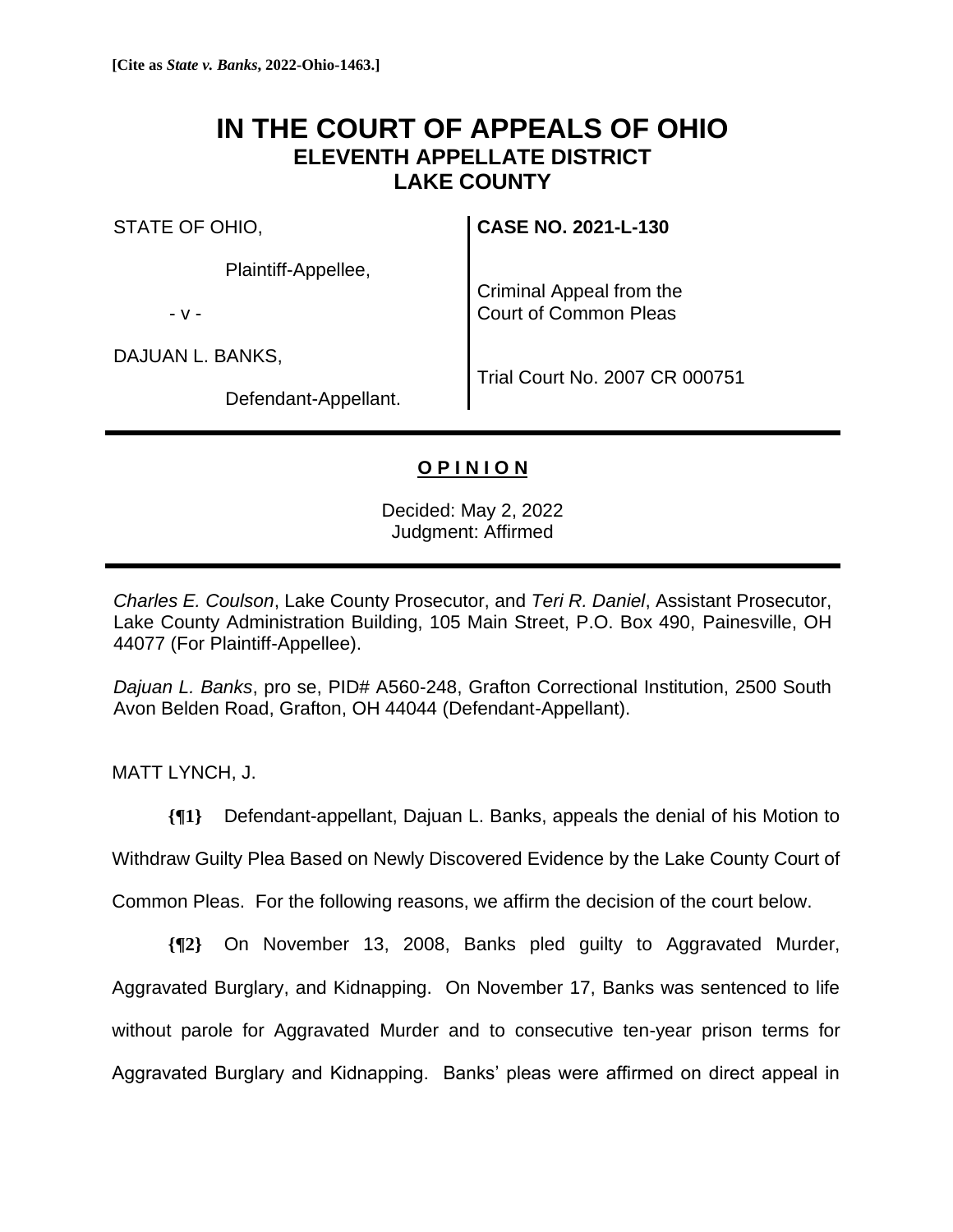## **IN THE COURT OF APPEALS OF OHIO ELEVENTH APPELLATE DISTRICT LAKE COUNTY**

STATE OF OHIO,

Plaintiff-Appellee,

- v -

DAJUAN L. BANKS,

**CASE NO. 2021-L-130**

Criminal Appeal from the Court of Common Pleas

Defendant-Appellant.

Trial Court No. 2007 CR 000751

## **O P I N I O N**

Decided: May 2, 2022 Judgment: Affirmed

*Charles E. Coulson*, Lake County Prosecutor, and *Teri R. Daniel*, Assistant Prosecutor, Lake County Administration Building, 105 Main Street, P.O. Box 490, Painesville, OH 44077 (For Plaintiff-Appellee).

*Dajuan L. Banks*, pro se, PID# A560-248, Grafton Correctional Institution, 2500 South Avon Belden Road, Grafton, OH 44044 (Defendant-Appellant).

MATT LYNCH, J.

**{¶1}** Defendant-appellant, Dajuan L. Banks, appeals the denial of his Motion to

Withdraw Guilty Plea Based on Newly Discovered Evidence by the Lake County Court of

Common Pleas. For the following reasons, we affirm the decision of the court below.

**{¶2}** On November 13, 2008, Banks pled guilty to Aggravated Murder, Aggravated Burglary, and Kidnapping. On November 17, Banks was sentenced to life without parole for Aggravated Murder and to consecutive ten-year prison terms for Aggravated Burglary and Kidnapping. Banks' pleas were affirmed on direct appeal in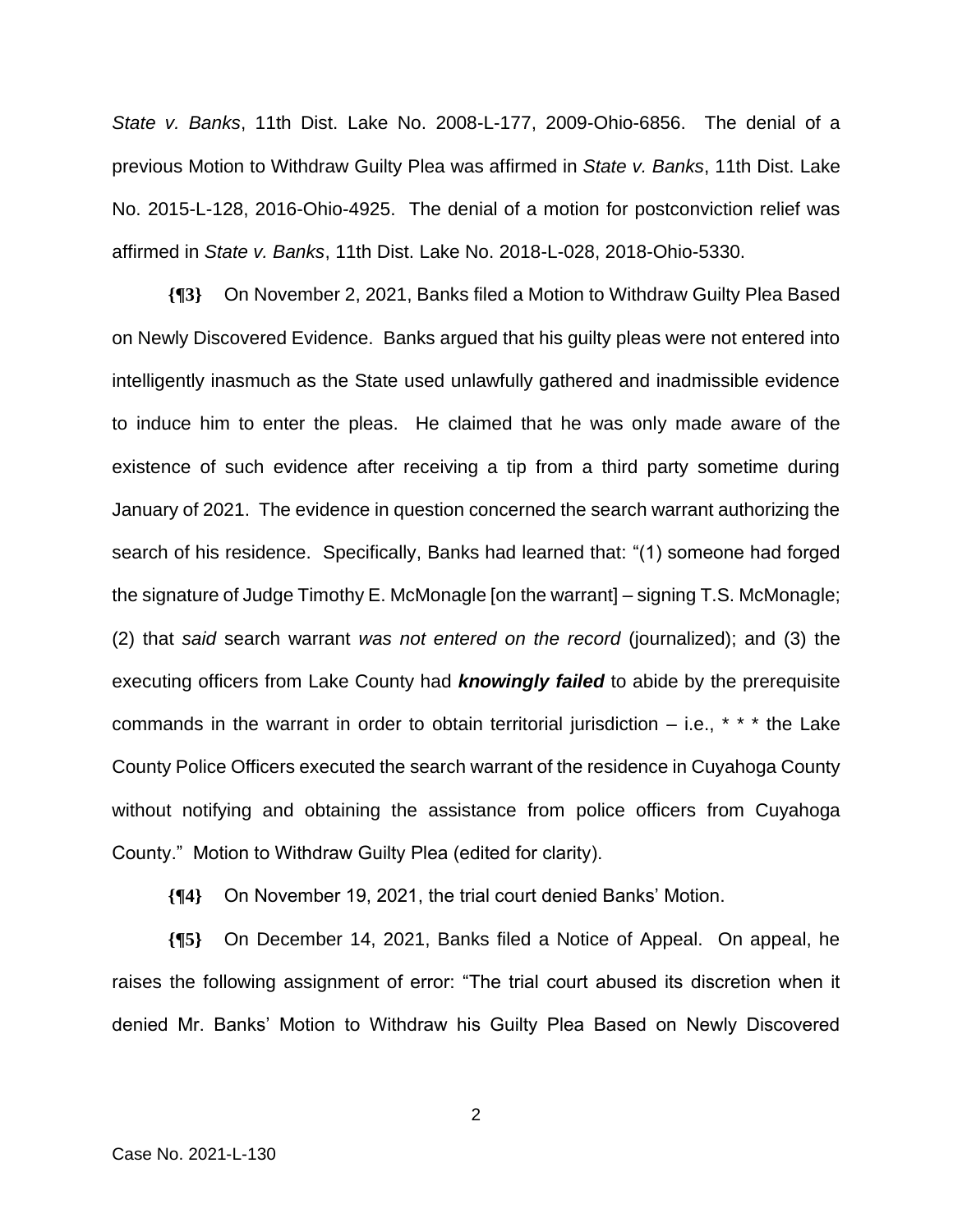*State v. Banks*, 11th Dist. Lake No. 2008-L-177, 2009-Ohio-6856. The denial of a previous Motion to Withdraw Guilty Plea was affirmed in *State v. Banks*, 11th Dist. Lake No. 2015-L-128, 2016-Ohio-4925. The denial of a motion for postconviction relief was affirmed in *State v. Banks*, 11th Dist. Lake No. 2018-L-028, 2018-Ohio-5330.

**{¶3}** On November 2, 2021, Banks filed a Motion to Withdraw Guilty Plea Based on Newly Discovered Evidence. Banks argued that his guilty pleas were not entered into intelligently inasmuch as the State used unlawfully gathered and inadmissible evidence to induce him to enter the pleas. He claimed that he was only made aware of the existence of such evidence after receiving a tip from a third party sometime during January of 2021. The evidence in question concerned the search warrant authorizing the search of his residence. Specifically, Banks had learned that: "(1) someone had forged the signature of Judge Timothy E. McMonagle [on the warrant] – signing T.S. McMonagle; (2) that *said* search warrant *was not entered on the record* (journalized); and (3) the executing officers from Lake County had *knowingly failed* to abide by the prerequisite commands in the warrant in order to obtain territorial jurisdiction  $-$  i.e.,  $* * *$  the Lake County Police Officers executed the search warrant of the residence in Cuyahoga County without notifying and obtaining the assistance from police officers from Cuyahoga County." Motion to Withdraw Guilty Plea (edited for clarity).

**{¶4}** On November 19, 2021, the trial court denied Banks' Motion.

**{¶5}** On December 14, 2021, Banks filed a Notice of Appeal. On appeal, he raises the following assignment of error: "The trial court abused its discretion when it denied Mr. Banks' Motion to Withdraw his Guilty Plea Based on Newly Discovered

2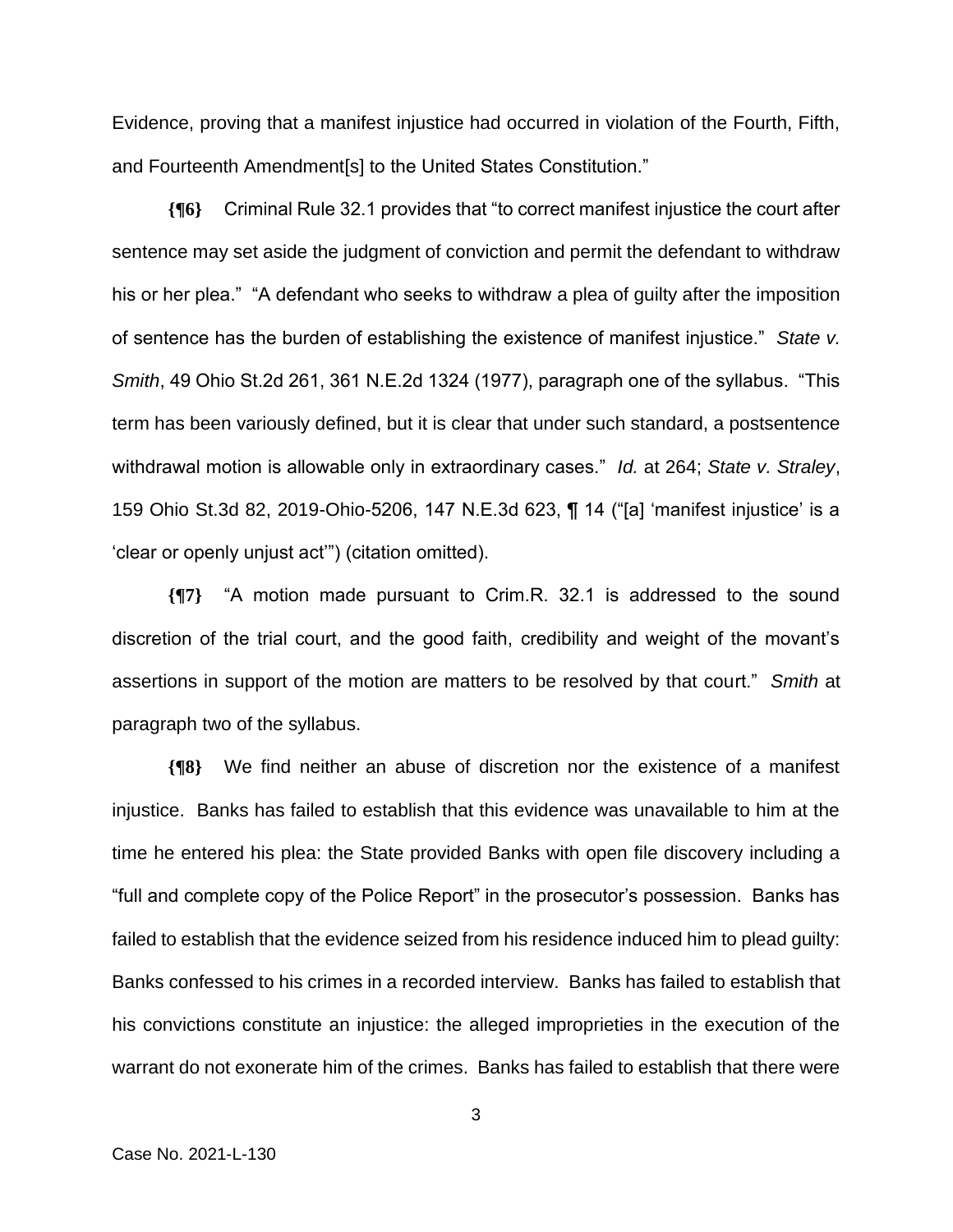Evidence, proving that a manifest injustice had occurred in violation of the Fourth, Fifth, and Fourteenth Amendment[s] to the United States Constitution."

**{¶6}** Criminal Rule 32.1 provides that "to correct manifest injustice the court after sentence may set aside the judgment of conviction and permit the defendant to withdraw his or her plea." "A defendant who seeks to withdraw a plea of guilty after the imposition of sentence has the burden of establishing the existence of manifest injustice." *State v. Smith*, 49 Ohio St.2d 261, 361 N.E.2d 1324 (1977), paragraph one of the syllabus. "This term has been variously defined, but it is clear that under such standard, a postsentence withdrawal motion is allowable only in extraordinary cases." *Id.* at 264; *State v. Straley*, 159 Ohio St.3d 82, 2019-Ohio-5206, 147 N.E.3d 623, ¶ 14 ("[a] 'manifest injustice' is a 'clear or openly unjust act'") (citation omitted).

**{¶7}** "A motion made pursuant to Crim.R. 32.1 is addressed to the sound discretion of the trial court, and the good faith, credibility and weight of the movant's assertions in support of the motion are matters to be resolved by that court." *Smith* at paragraph two of the syllabus.

**{¶8}** We find neither an abuse of discretion nor the existence of a manifest injustice. Banks has failed to establish that this evidence was unavailable to him at the time he entered his plea: the State provided Banks with open file discovery including a "full and complete copy of the Police Report" in the prosecutor's possession. Banks has failed to establish that the evidence seized from his residence induced him to plead guilty: Banks confessed to his crimes in a recorded interview. Banks has failed to establish that his convictions constitute an injustice: the alleged improprieties in the execution of the warrant do not exonerate him of the crimes. Banks has failed to establish that there were

3